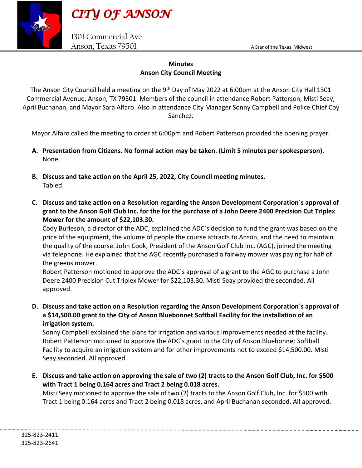

1301 Commercial Ave Anson, Texas 79501 Anson and Marian Astar of the Texas Midwest

## **Minutes Anson City Council Meeting**

The Anson City Council held a meeting on the 9<sup>th</sup> Day of May 2022 at 6:00pm at the Anson City Hall 1301 Commercial Avenue, Anson, TX 79501. Members of the council in attendance Robert Patterson, Misti Seay, April Buchanan, and Mayor Sara Alfaro. Also in attendance City Manager Sonny Campbell and Police Chief Coy Sanchez.

Mayor Alfaro called the meeting to order at 6:00pm and Robert Patterson provided the opening prayer.

- **A. Presentation from Citizens. No formal action may be taken. (Limit 5 minutes per spokesperson).** None.
- **B. Discuss and take action on the April 25, 2022, City Council meeting minutes.**  Tabled.
- **C. Discuss and take action on a Resolution regarding the Anson Development Corporation`s approval of grant to the Anson Golf Club Inc. for the for the purchase of a John Deere 2400 Precision Cut Triplex Mower for the amount of \$22,103.30.**

Cody Burleson, a director of the ADC, explained the ADC`s decision to fund the grant was based on the price of the equipment, the volume of people the course attracts to Anson, and the need to maintain the quality of the course. John Cook, President of the Anson Golf Club Inc. (AGC), joined the meeting via telephone. He explained that the AGC recently purchased a fairway mower was paying for half of the greens mower.

Robert Patterson motioned to approve the ADC`s approval of a grant to the AGC to purchase a John Deere 2400 Precision Cut Triplex Mower for \$22,103.30. Misti Seay provided the seconded. All approved.

**D. Discuss and take action on a Resolution regarding the Anson Development Corporation`s approval of a \$14,500.00 grant to the City of Anson Bluebonnet Softball Facility for the installation of an irrigation system.**

Sonny Campbell explained the plans for irrigation and various improvements needed at the facility. Robert Patterson motioned to approve the ADC`s grant to the City of Anson Bluebonnet Softball Facility to acquire an irrigation system and for other improvements not to exceed \$14,500.00. Misti Seay seconded. All approved.

**E. Discuss and take action on approving the sale of two (2) tracts to the Anson Golf Club, Inc. for \$500 with Tract 1 being 0.164 acres and Tract 2 being 0.018 acres.**

Misti Seay motioned to approve the sale of two (2) tracts to the Anson Golf Club, Inc. for \$500 with Tract 1 being 0.164 acres and Tract 2 being 0.018 acres, and April Buchanan seconded. All approved.